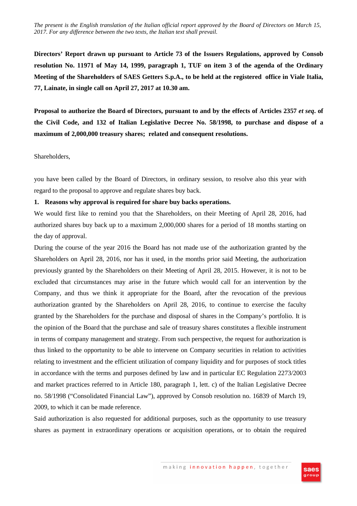**Directors' Report drawn up pursuant to Article 73 of the Issuers Regulations, approved by Consob resolution No. 11971 of May 14, 1999, paragraph 1, TUF on item 3 of the agenda of the Ordinary Meeting of the Shareholders of SAES Getters S.p.A., to be held at the registered office in Viale Italia, 77, Lainate, in single call on April 27, 2017 at 10.30 am.** 

**Proposal to authorize the Board of Directors, pursuant to and by the effects of Articles 2357** *et seq***. of the Civil Code, and 132 of Italian Legislative Decree No. 58/1998, to purchase and dispose of a maximum of 2,000,000 treasury shares; related and consequent resolutions.** 

Shareholders,

you have been called by the Board of Directors, in ordinary session, to resolve also this year with regard to the proposal to approve and regulate shares buy back.

### **1. Reasons why approval is required for share buy backs operations.**

We would first like to remind you that the Shareholders, on their Meeting of April 28, 2016, had authorized shares buy back up to a maximum 2,000,000 shares for a period of 18 months starting on the day of approval.

During the course of the year 2016 the Board has not made use of the authorization granted by the Shareholders on April 28, 2016, nor has it used, in the months prior said Meeting, the authorization previously granted by the Shareholders on their Meeting of April 28, 2015. However, it is not to be excluded that circumstances may arise in the future which would call for an intervention by the Company, and thus we think it appropriate for the Board, after the revocation of the previous authorization granted by the Shareholders on April 28, 2016, to continue to exercise the faculty granted by the Shareholders for the purchase and disposal of shares in the Company's portfolio. It is the opinion of the Board that the purchase and sale of treasury shares constitutes a flexible instrument in terms of company management and strategy. From such perspective, the request for authorization is thus linked to the opportunity to be able to intervene on Company securities in relation to activities relating to investment and the efficient utilization of company liquidity and for purposes of stock titles in accordance with the terms and purposes defined by law and in particular EC Regulation 2273/2003 and market practices referred to in Article 180, paragraph 1, lett. c) of the Italian Legislative Decree no. 58/1998 ("Consolidated Financial Law"), approved by Consob resolution no. 16839 of March 19, 2009, to which it can be made reference.

Said authorization is also requested for additional purposes, such as the opportunity to use treasury shares as payment in extraordinary operations or acquisition operations, or to obtain the required

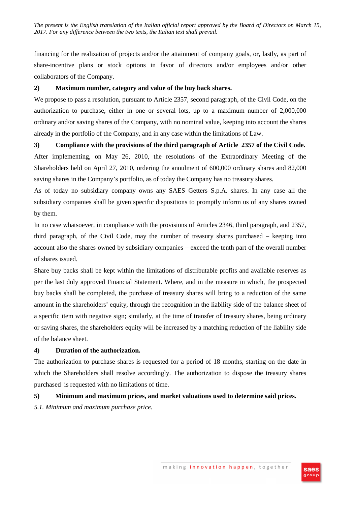financing for the realization of projects and/or the attainment of company goals, or, lastly, as part of share-incentive plans or stock options in favor of directors and/or employees and/or other collaborators of the Company.

### **2) Maximum number, category and value of the buy back shares.**

We propose to pass a resolution, pursuant to Article 2357, second paragraph, of the Civil Code, on the authorization to purchase, either in one or several lots, up to a maximum number of 2,000,000 ordinary and/or saving shares of the Company, with no nominal value, keeping into account the shares already in the portfolio of the Company, and in any case within the limitations of Law.

**3) Compliance with the provisions of the third paragraph of Article 2357 of the Civil Code.**  After implementing, on May 26, 2010, the resolutions of the Extraordinary Meeting of the Shareholders held on April 27, 2010, ordering the annulment of 600,000 ordinary shares and 82,000 saving shares in the Company's portfolio, as of today the Company has no treasury shares.

As of today no subsidiary company owns any SAES Getters S.p.A. shares. In any case all the subsidiary companies shall be given specific dispositions to promptly inform us of any shares owned by them.

In no case whatsoever, in compliance with the provisions of Articles 2346, third paragraph, and 2357, third paragraph, of the Civil Code, may the number of treasury shares purchased – keeping into account also the shares owned by subsidiary companies – exceed the tenth part of the overall number of shares issued.

Share buy backs shall be kept within the limitations of distributable profits and available reserves as per the last duly approved Financial Statement. Where, and in the measure in which, the prospected buy backs shall be completed, the purchase of treasury shares will bring to a reduction of the same amount in the shareholders' equity, through the recognition in the liability side of the balance sheet of a specific item with negative sign; similarly, at the time of transfer of treasury shares, being ordinary or saving shares, the shareholders equity will be increased by a matching reduction of the liability side of the balance sheet.

### **4) Duration of the authorization.**

The authorization to purchase shares is requested for a period of 18 months, starting on the date in which the Shareholders shall resolve accordingly. The authorization to dispose the treasury shares purchased is requested with no limitations of time.

# **5) Minimum and maximum prices, and market valuations used to determine said prices.**

*5.1. Minimum and maximum purchase price.* 

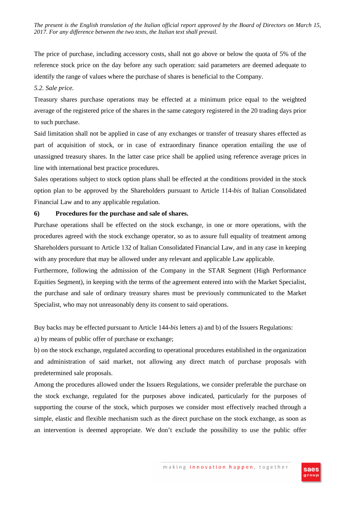The price of purchase, including accessory costs, shall not go above or below the quota of 5% of the reference stock price on the day before any such operation: said parameters are deemed adequate to identify the range of values where the purchase of shares is beneficial to the Company.

### *5.2. Sale price.*

Treasury shares purchase operations may be effected at a minimum price equal to the weighted average of the registered price of the shares in the same category registered in the 20 trading days prior to such purchase.

Said limitation shall not be applied in case of any exchanges or transfer of treasury shares effected as part of acquisition of stock, or in case of extraordinary finance operation entailing the use of unassigned treasury shares. In the latter case price shall be applied using reference average prices in line with international best practice procedures.

Sales operations subject to stock option plans shall be effected at the conditions provided in the stock option plan to be approved by the Shareholders pursuant to Article 114-*bis* of Italian Consolidated Financial Law and to any applicable regulation.

## **6) Procedures for the purchase and sale of shares.**

Purchase operations shall be effected on the stock exchange, in one or more operations, with the procedures agreed with the stock exchange operator, so as to assure full equality of treatment among Shareholders pursuant to Article 132 of Italian Consolidated Financial Law, and in any case in keeping with any procedure that may be allowed under any relevant and applicable Law applicable.

Furthermore, following the admission of the Company in the STAR Segment (High Performance Equities Segment), in keeping with the terms of the agreement entered into with the Market Specialist, the purchase and sale of ordinary treasury shares must be previously communicated to the Market Specialist, who may not unreasonably deny its consent to said operations.

Buy backs may be effected pursuant to Article 144-*bis* letters a) and b) of the Issuers Regulations:

a) by means of public offer of purchase or exchange;

b) on the stock exchange, regulated according to operational procedures established in the organization and administration of said market, not allowing any direct match of purchase proposals with predetermined sale proposals.

Among the procedures allowed under the Issuers Regulations, we consider preferable the purchase on the stock exchange, regulated for the purposes above indicated, particularly for the purposes of supporting the course of the stock, which purposes we consider most effectively reached through a simple, elastic and flexible mechanism such as the direct purchase on the stock exchange, as soon as an intervention is deemed appropriate. We don't exclude the possibility to use the public offer

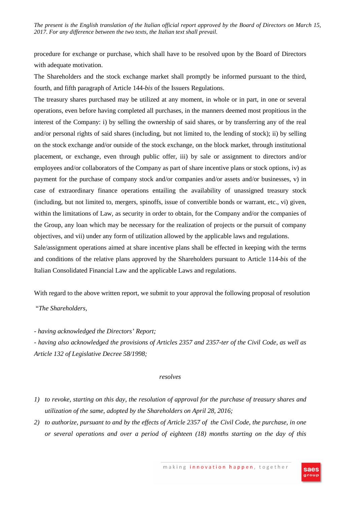procedure for exchange or purchase, which shall have to be resolved upon by the Board of Directors with adequate motivation.

The Shareholders and the stock exchange market shall promptly be informed pursuant to the third, fourth, and fifth paragraph of Article 144-*bis* of the Issuers Regulations.

The treasury shares purchased may be utilized at any moment, in whole or in part, in one or several operations, even before having completed all purchases, in the manners deemed most propitious in the interest of the Company: i) by selling the ownership of said shares, or by transferring any of the real and/or personal rights of said shares (including, but not limited to, the lending of stock); ii) by selling on the stock exchange and/or outside of the stock exchange, on the block market, through institutional placement, or exchange, even through public offer, iii) by sale or assignment to directors and/or employees and/or collaborators of the Company as part of share incentive plans or stock options, iv) as payment for the purchase of company stock and/or companies and/or assets and/or businesses, v) in case of extraordinary finance operations entailing the availability of unassigned treasury stock (including, but not limited to, mergers, spinoffs, issue of convertible bonds or warrant, etc., vi) given, within the limitations of Law, as security in order to obtain, for the Company and/or the companies of the Group, any loan which may be necessary for the realization of projects or the pursuit of company objectives, and vii) under any form of utilization allowed by the applicable laws and regulations.

Sale/assignment operations aimed at share incentive plans shall be effected in keeping with the terms and conditions of the relative plans approved by the Shareholders pursuant to Article 114-*bis* of the Italian Consolidated Financial Law and the applicable Laws and regulations.

With regard to the above written report, we submit to your approval the following proposal of resolution

"*The Shareholders,* 

*- having acknowledged the Directors' Report;* 

*- having also acknowledged the provisions of Articles 2357 and 2357-ter of the Civil Code, as well as Article 132 of Legislative Decree 58/1998;* 

### *resolves*

- *1) to revoke, starting on this day, the resolution of approval for the purchase of treasury shares and utilization of the same, adopted by the Shareholders on April 28, 2016;*
- *2) to authorize, pursuant to and by the effects of Article 2357 of the Civil Code, the purchase, in one or several operations and over a period of eighteen (18) months starting on the day of this*

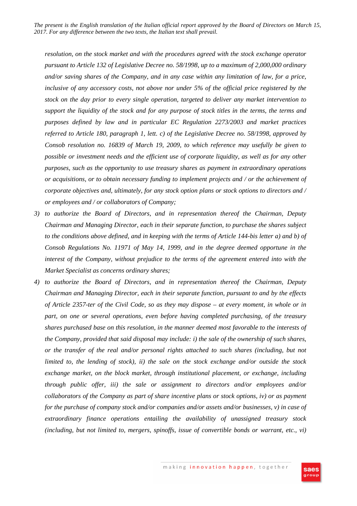*resolution, on the stock market and with the procedures agreed with the stock exchange operator pursuant to Article 132 of Legislative Decree no. 58/1998, up to a maximum of 2,000,000 ordinary and/or saving shares of the Company, and in any case within any limitation of law, for a price, inclusive of any accessory costs, not above nor under 5% of the official price registered by the stock on the day prior to every single operation, targeted to deliver any market intervention to support the liquidity of the stock and for any purpose of stock titles in the terms, the terms and purposes defined by law and in particular EC Regulation 2273/2003 and market practices referred to Article 180, paragraph 1, lett. c) of the Legislative Decree no. 58/1998, approved by Consob resolution no. 16839 of March 19, 2009, to which reference may usefully be given to possible or investment needs and the efficient use of corporate liquidity, as well as for any other purposes, such as the opportunity to use treasury shares as payment in extraordinary operations or acquisitions, or to obtain necessary funding to implement projects and / or the achievement of corporate objectives and, ultimately, for any stock option plans or stock options to directors and / or employees and / or collaborators of Company;* 

- *3) to authorize the Board of Directors, and in representation thereof the Chairman, Deputy Chairman and Managing Director, each in their separate function, to purchase the shares subject to the conditions above defined, and in keeping with the terms of Article 144-bis letter a) and b) of Consob Regulations No. 11971 of May 14, 1999, and in the degree deemed opportune in the interest of the Company, without prejudice to the terms of the agreement entered into with the Market Specialist as concerns ordinary shares;*
- *4) to authorize the Board of Directors, and in representation thereof the Chairman, Deputy Chairman and Managing Director, each in their separate function, pursuant to and by the effects of Article 2357-ter of the Civil Code, so as they may dispose – at every moment, in whole or in part, on one or several operations, even before having completed purchasing, of the treasury shares purchased base on this resolution, in the manner deemed most favorable to the interests of the Company, provided that said disposal may include: i) the sale of the ownership of such shares, or the transfer of the real and/or personal rights attached to such shares (including, but not limited to, the lending of stock), ii) the sale on the stock exchange and/or outside the stock exchange market, on the block market, through institutional placement, or exchange, including through public offer, iii) the sale or assignment to directors and/or employees and/or collaborators of the Company as part of share incentive plans or stock options, iv) or as payment for the purchase of company stock and/or companies and/or assets and/or businesses, v) in case of extraordinary finance operations entailing the availability of unassigned treasury stock (including, but not limited to, mergers, spinoffs, issue of convertible bonds or warrant, etc., vi)*